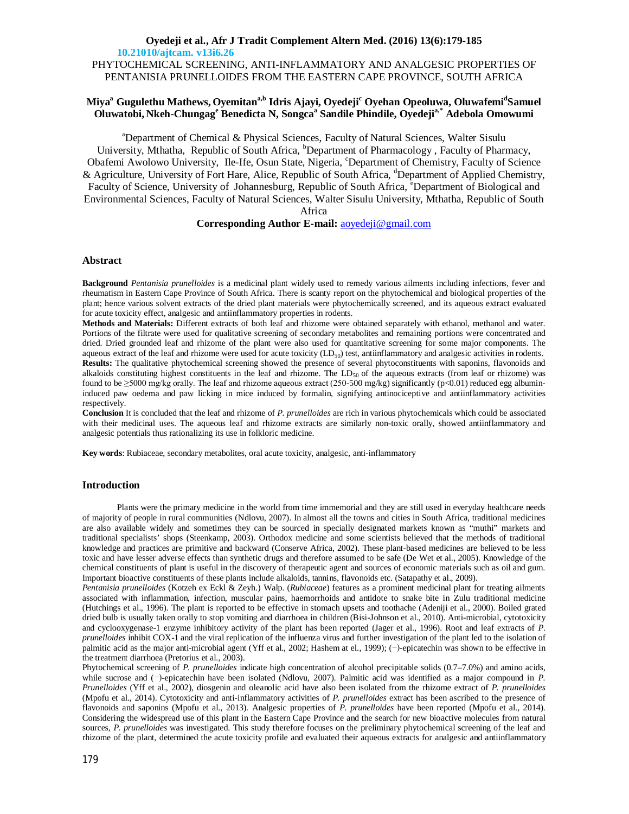# **Oyedeji et al., Afr J Tradit Complement Altern Med. (2016) 13(6):179-185 10.21010/ajtcam. v13i6.26** PHYTOCHEMICAL SCREENING, ANTI-INFLAMMATORY AND ANALGESIC PROPERTIES OF PENTANISIA PRUNELLOIDES FROM THE EASTERN CAPE PROVINCE, SOUTH AFRICA

# **Miya<sup>a</sup> Gugulethu Mathews, Oyemitana,b Idris Ajayi, Oyedeji<sup>c</sup> Oyehan Opeoluwa, Oluwafemi<sup>d</sup> Samuel Oluwatobi, Nkeh-Chungag<sup>e</sup> Benedicta N, Songca<sup>a</sup> Sandile Phindile, Oyedejia,\* Adebola Omowumi**

<sup>a</sup>Department of Chemical & Physical Sciences, Faculty of Natural Sciences, Walter Sisulu University, Mthatha, Republic of South Africa, <sup>b</sup>Department of Pharmacology, Faculty of Pharmacy, Obafemi Awolowo University, Ile-Ife, Osun State, Nigeria, 'Department of Chemistry, Faculty of Science & Agriculture, University of Fort Hare, Alice, Republic of South Africa, <sup>d</sup>Department of Applied Chemistry, Faculty of Science, University of Johannesburg, Republic of South Africa, <sup>e</sup>Department of Biological and Environmental Sciences, Faculty of Natural Sciences, Walter Sisulu University, Mthatha, Republic of South

## Africa

# **Corresponding Author E-mail:** [aoyedeji@gmail.com](mailto:aoyedeji@gmail.com)

# **Abstract**

**Background** *Pentanisia prunelloides* is a medicinal plant widely used to remedy various ailments including infections, fever and rheumatism in Eastern Cape Province of South Africa. There is scanty report on the phytochemical and biological properties of the plant; hence various solvent extracts of the dried plant materials were phytochemically screened, and its aqueous extract evaluated for acute toxicity effect, analgesic and antiinflammatory properties in rodents.

**Methods and Materials:** Different extracts of both leaf and rhizome were obtained separately with ethanol, methanol and water. Portions of the filtrate were used for qualitative screening of secondary metabolites and remaining portions were concentrated and dried. Dried grounded leaf and rhizome of the plant were also used for quantitative screening for some major components. The aqueous extract of the leaf and rhizome were used for acute toxicity (LD<sub>50</sub>) test, antiinflammatory and analgesic activities in rodents. **Results:** The qualitative phytochemical screening showed the presence of several phytoconstituents with saponins, flavonoids and alkaloids constituting highest constituents in the leaf and rhizome. The  $LD_{50}$  of the aqueous extracts (from leaf or rhizome) was found to be  $\geq$ 5000 mg/kg orally. The leaf and rhizome aqueous extract (250-500 mg/kg) significantly (p<0.01) reduced egg albumininduced paw oedema and paw licking in mice induced by formalin, signifying antinociceptive and antiinflammatory activities respectively.

**Conclusion** It is concluded that the leaf and rhizome of *P. prunelloides* are rich in various phytochemicals which could be associated with their medicinal uses. The aqueous leaf and rhizome extracts are similarly non-toxic orally, showed antiinflammatory and analgesic potentials thus rationalizing its use in folkloric medicine.

**Key words**: Rubiaceae, secondary metabolites, oral acute toxicity, analgesic, anti-inflammatory

## **Introduction**

Plants were the primary medicine in the world from time immemorial and they are still used in everyday healthcare needs of majority of people in rural communities (Ndlovu, 2007). In almost all the towns and cities in South Africa, traditional medicines are also available widely and sometimes they can be sourced in specially designated markets known as "muthi" markets and traditional specialists' shops (Steenkamp, 2003). Orthodox medicine and some scientists believed that the methods of traditional knowledge and practices are primitive and backward (Conserve Africa, 2002). These plant-based medicines are believed to be less toxic and have lesser adverse effects than synthetic drugs and therefore assumed to be safe (De Wet et al., 2005). Knowledge of the chemical constituents of plant is useful in the discovery of therapeutic agent and sources of economic materials such as oil and gum. Important bioactive constituents of these plants include alkaloids, tannins, flavonoids etc. (Satapathy et al., 2009).

*Pentanisia prunelloides* (Kotzeh ex Eckl & Zeyh.) Walp. (*Rubiaceae*) features as a prominent medicinal plant for treating ailments associated with inflammation, infection, muscular pains, haemorrhoids and antidote to snake bite in Zulu traditional medicine (Hutchings et al., 1996). The plant is reported to be effective in stomach upsets and toothache (Adeniji et al., 2000). Boiled grated dried bulb is usually taken orally to stop vomiting and diarrhoea in children (Bisi-Johnson et al., 2010). Anti-microbial, cytotoxicity and cyclooxygenase-1 enzyme inhibitory activity of the plant has been reported (Jager et al., 1996). Root and leaf extracts of *P. prunelloides* inhibit COX-1 and the viral replication of the influenza virus and further investigation of the plant led to the isolation of palmitic acid as the major anti-microbial agent (Yff et al., 2002; Hashem at el., 1999); (−)-epicatechin was shown to be effective in the treatment diarrhoea (Pretorius et al., 2003).

Phytochemical screening of *P. prunelloides* indicate high concentration of alcohol precipitable solids (0.7–7.0%) and amino acids, while sucrose and (−)-epicatechin have been isolated (Ndlovu, 2007). Palmitic acid was identified as a major compound in *P. Prunelloides* (Yff et al., 2002), diosgenin and oleanolic acid have also been isolated from the rhizome extract of *P. prunelloides* (Mpofu et al., 2014). Cytotoxicity and anti-inflammatory activities of *P. prunelloides* extract has been ascribed to the presence of flavonoids and saponins (Mpofu et al., 2013). Analgesic properties of *P. prunelloides* have been reported (Mpofu et al., 2014). Considering the widespread use of this plant in the Eastern Cape Province and the search for new bioactive molecules from natural sources, *P. prunelloides* was investigated. This study therefore focuses on the preliminary phytochemical screening of the leaf and rhizome of the plant, determined the acute toxicity profile and evaluated their aqueous extracts for analgesic and antiinflammatory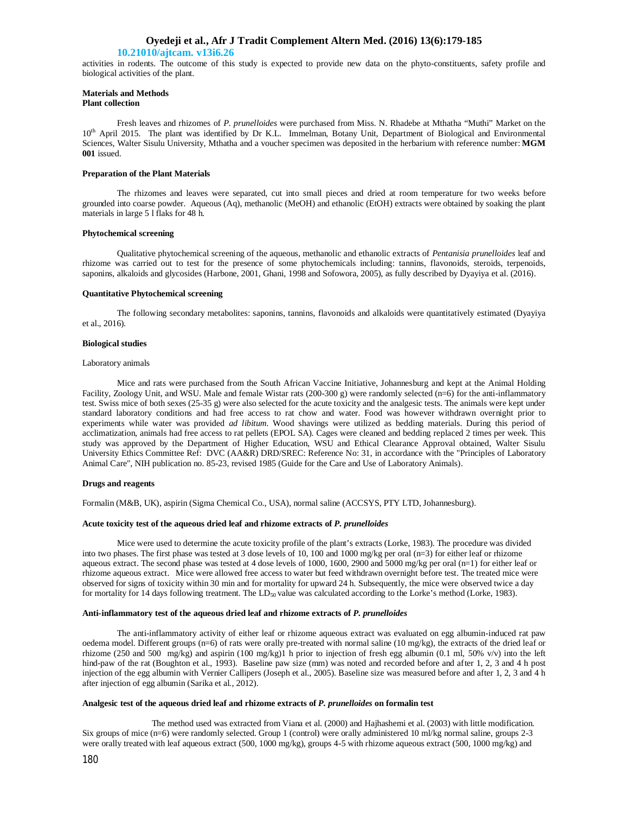## **Oyedeji et al., Afr J Tradit Complement Altern Med. (2016) 13(6):179-185**

## **10.21010/ajtcam. v13i6.26**

activities in rodents. The outcome of this study is expected to provide new data on the phyto-constituents, safety profile and biological activities of the plant.

#### **Materials and Methods Plant collection**

Fresh leaves and rhizomes of *P. prunelloides* were purchased from Miss. N. Rhadebe at Mthatha "Muthi" Market on the 10<sup>th</sup> April 2015. The plant was identified by Dr K.L. Immelman, Botany Unit, Department of Biological and Environmental Sciences, Walter Sisulu University, Mthatha and a voucher specimen was deposited in the herbarium with reference number: **MGM 001** issued.

### **Preparation of the Plant Materials**

The rhizomes and leaves were separated, cut into small pieces and dried at room temperature for two weeks before grounded into coarse powder. Aqueous (Aq), methanolic (MeOH) and ethanolic (EtOH) extracts were obtained by soaking the plant materials in large 5 l flaks for 48 h.

#### **Phytochemical screening**

Qualitative phytochemical screening of the aqueous, methanolic and ethanolic extracts of *Pentanisia prunelloides* leaf and rhizome was carried out to test for the presence of some phytochemicals including: tannins, flavonoids, steroids, terpenoids, saponins, alkaloids and glycosides (Harbone, 2001, Ghani, 1998 and Sofowora, 2005), as fully described by Dyayiya et al. (2016).

## **Quantitative Phytochemical screening**

The following secondary metabolites: saponins, tannins, flavonoids and alkaloids were quantitatively estimated (Dyayiya et al., 2016).

#### **Biological studies**

### Laboratory animals

Mice and rats were purchased from the South African Vaccine Initiative, Johannesburg and kept at the Animal Holding Facility, Zoology Unit, and WSU. Male and female Wistar rats (200-300 g) were randomly selected (n=6) for the anti-inflammatory test. Swiss mice of both sexes (25-35 g) were also selected for the acute toxicity and the analgesic tests. The animals were kept under standard laboratory conditions and had free access to rat chow and water. Food was however withdrawn overnight prior to experiments while water was provided *ad libitum*. Wood shavings were utilized as bedding materials. During this period of acclimatization, animals had free access to rat pellets (EPOL SA). Cages were cleaned and bedding replaced 2 times per week. This study was approved by the Department of Higher Education, WSU and Ethical Clearance Approval obtained, Walter Sisulu University Ethics Committee Ref: DVC (AA&R) DRD/SREC: Reference No: 31, in accordance with the "Principles of Laboratory Animal Care", NIH publication no. 85-23, revised 1985 (Guide for the Care and Use of Laboratory Animals).

### **Drugs and reagents**

Formalin (M&B, UK), aspirin (Sigma Chemical Co., USA), normal saline (ACCSYS, PTY LTD, Johannesburg).

### **Acute toxicity test of the aqueous dried leaf and rhizome extracts of** *P. prunelloides*

Mice were used to determine the acute toxicity profile of the plant's extracts (Lorke, 1983). The procedure was divided into two phases. The first phase was tested at 3 dose levels of 10, 100 and 1000 mg/kg per oral (n=3) for either leaf or rhizome aqueous extract. The second phase was tested at 4 dose levels of 1000, 1600, 2900 and 5000 mg/kg per oral (n=1) for either leaf or rhizome aqueous extract. Mice were allowed free access to water but feed withdrawn overnight before test. The treated mice were observed for signs of toxicity within 30 min and for mortality for upward 24 h. Subsequently, the mice were observed twice a day for mortality for 14 days following treatment. The  $LD_{50}$  value was calculated according to the Lorke's method (Lorke, 1983).

#### **Anti-inflammatory test of the aqueous dried leaf and rhizome extracts of** *P. prunelloides*

The anti-inflammatory activity of either leaf or rhizome aqueous extract was evaluated on egg albumin-induced rat paw oedema model. Different groups (n=6) of rats were orally pre-treated with normal saline (10 mg/kg), the extracts of the dried leaf or rhizome (250 and 500 mg/kg) and aspirin (100 mg/kg)1 h prior to injection of fresh egg albumin (0.1 ml, 50% v/v) into the left hind-paw of the rat (Boughton et al., 1993). Baseline paw size (mm) was noted and recorded before and after 1, 2, 3 and 4 h post injection of the egg albumin with Vernier Callipers (Joseph et al., 2005). Baseline size was measured before and after 1, 2, 3 and 4 h after injection of egg albumin (Sarika et al., 2012).

### **Analgesic test of the aqueous dried leaf and rhizome extracts of** *P. prunelloides* **on formalin test**

The method used was extracted from Viana et al. (2000) and Hajhashemi et al. (2003) with little modification. Six groups of mice (n=6) were randomly selected. Group 1 (control) were orally administered 10 ml/kg normal saline, groups 2-3 were orally treated with leaf aqueous extract (500, 1000 mg/kg), groups 4-5 with rhizome aqueous extract (500, 1000 mg/kg) and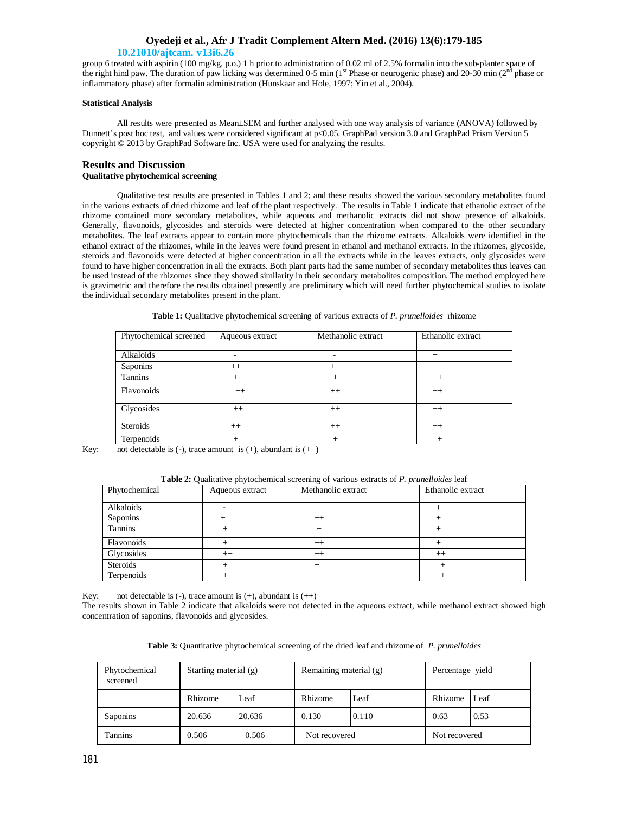# **Oyedeji et al., Afr J Tradit Complement Altern Med. (2016) 13(6):179-185**

# **10.21010/ajtcam. v13i6.26**

group 6 treated with aspirin (100 mg/kg, p.o.) 1 h prior to administration of 0.02 ml of 2.5% formalin into the sub-planter space of the right hind paw. The duration of paw licking was determined 0-5 min ( $1<sup>st</sup>$  Phase or neurogenic phase) and 20-30 min ( $2<sup>nd</sup>$  phase or inflammatory phase) after formalin administration (Hunskaar and Hole, 1997; Yin et al., 2004).

## **Statistical Analysis**

All results were presented as Mean±SEM and further analysed with one way analysis of variance (ANOVA) followed by Dunnett's post hoc test, and values were considered significant at p<0.05. GraphPad version 3.0 and GraphPad Prism Version 5 copyright © 2013 by GraphPad Software Inc. USA were used for analyzing the results.

## **Results and Discussion Qualitative phytochemical screening**

Qualitative test results are presented in Tables 1 and 2; and these results showed the various secondary metabolites found in the various extracts of dried rhizome and leaf of the plant respectively. The results in Table 1 indicate that ethanolic extract of the rhizome contained more secondary metabolites, while aqueous and methanolic extracts did not show presence of alkaloids. Generally, flavonoids, glycosides and steroids were detected at higher concentration when compared to the other secondary metabolites. The leaf extracts appear to contain more phytochemicals than the rhizome extracts. Alkaloids were identified in the ethanol extract of the rhizomes, while in the leaves were found present in ethanol and methanol extracts. In the rhizomes, glycoside, steroids and flavonoids were detected at higher concentration in all the extracts while in the leaves extracts, only glycosides were found to have higher concentration in all the extracts. Both plant parts had the same number of secondary metabolites thus leaves can be used instead of the rhizomes since they showed similarity in their secondary metabolites composition. The method employed here is gravimetric and therefore the results obtained presently are preliminary which will need further phytochemical studies to isolate the individual secondary metabolites present in the plant.

|  |  |  |  |  | Table 1: Qualitative phytochemical screening of various extracts of P. prunelloides rhizome |  |
|--|--|--|--|--|---------------------------------------------------------------------------------------------|--|
|  |  |  |  |  |                                                                                             |  |

| Phytochemical screened | Aqueous extract | Methanolic extract | Ethanolic extract |  |
|------------------------|-----------------|--------------------|-------------------|--|
|                        |                 |                    |                   |  |
| Alkaloids              |                 |                    | $^{+}$            |  |
| Saponins               | $++$            |                    | $^+$              |  |
| Tannins                | $^{+}$          | $\pm$              | $++$              |  |
| Flavonoids             | $++$            | $++$               | $++$              |  |
| Glycosides             | $^{++}$         | $++$               | $^{++}$           |  |
| Steroids               | $++$            | $++$               | $++$              |  |
| Terpenoids             |                 |                    |                   |  |

Key: not detectable is  $(-)$ , trace amount is  $(+)$ , abundant is  $(+)$ 

| Phytochemical | Aqueous extract | Methanolic extract | Ethanolic extract |  |
|---------------|-----------------|--------------------|-------------------|--|
|               |                 |                    |                   |  |
| Alkaloids     |                 |                    |                   |  |
| Saponins      |                 | $^{++}$            |                   |  |
| Tannins       |                 |                    |                   |  |
| Flavonoids    |                 | $^{++}$            |                   |  |
| Glycosides    | $^{++}$         | $^{++}$            | $^{++}$           |  |
| Steroids      |                 |                    |                   |  |
| Terpenoids    |                 |                    |                   |  |

**Table 2:** Qualitative phytochemical screening of various extracts of *P. prunelloides* leaf

Key: not detectable is  $(-)$ , trace amount is  $(+)$ , abundant is  $(+)$ 

The results shown in Table 2 indicate that alkaloids were not detected in the aqueous extract, while methanol extract showed high concentration of saponins, flavonoids and glycosides.

**Table 3:** Quantitative phytochemical screening of the dried leaf and rhizome of *P. prunelloides*

| Phytochemical<br>screened | Starting material (g) |        | Remaining material (g) |       | Percentage yield |      |
|---------------------------|-----------------------|--------|------------------------|-------|------------------|------|
|                           | Rhizome               | Leaf   | Rhizome                | Leaf  | Rhizome          | Leaf |
| Saponins                  | 20.636                | 20.636 | 0.130                  | 0.110 | 0.63             | 0.53 |
| Tannins                   | 0.506                 | 0.506  | Not recovered          |       | Not recovered    |      |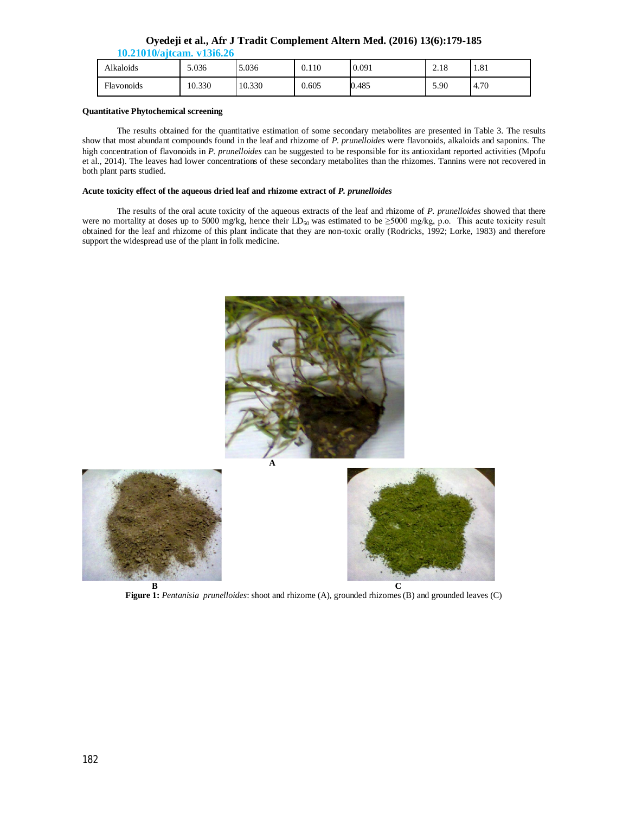|  | Oyedeji et al., Afr J Tradit Complement Altern Med. (2016) 13(6):179-185 |
|--|--------------------------------------------------------------------------|
|  |                                                                          |

| 10.21010/ajtcam. v13i6.26 |  |  |
|---------------------------|--|--|
|                           |  |  |

| Alkaloids  | 5.036  | 5.036  | 0.110 | 0.091 | 2.18 | 1.81 |
|------------|--------|--------|-------|-------|------|------|
| Flavonoids | 10.330 | 10.330 | 0.605 | 0.485 | 5.90 | 4.70 |

## **Quantitative Phytochemical screening**

The results obtained for the quantitative estimation of some secondary metabolites are presented in Table 3. The results show that most abundant compounds found in the leaf and rhizome of *P. prunelloides* were flavonoids, alkaloids and saponins. The high concentration of flavonoids in *P. prunelloides* can be suggested to be responsible for its antioxidant reported activities (Mpofu et al., 2014). The leaves had lower concentrations of these secondary metabolites than the rhizomes. Tannins were not recovered in both plant parts studied.

# **Acute toxicity effect of the aqueous dried leaf and rhizome extract of** *P. prunelloides*

The results of the oral acute toxicity of the aqueous extracts of the leaf and rhizome of *P. prunelloides* showed that there were no mortality at doses up to 5000 mg/kg, hence their LD<sub>50</sub> was estimated to be  $\geq$ 5000 mg/kg, p.o. This acute toxicity result obtained for the leaf and rhizome of this plant indicate that they are non-toxic orally (Rodricks, 1992; Lorke, 1983) and therefore support the widespread use of the plant in folk medicine.



**Figure 1:** *Pentanisia prunelloides*: shoot and rhizome (A), grounded rhizomes (B) and grounded leaves (C)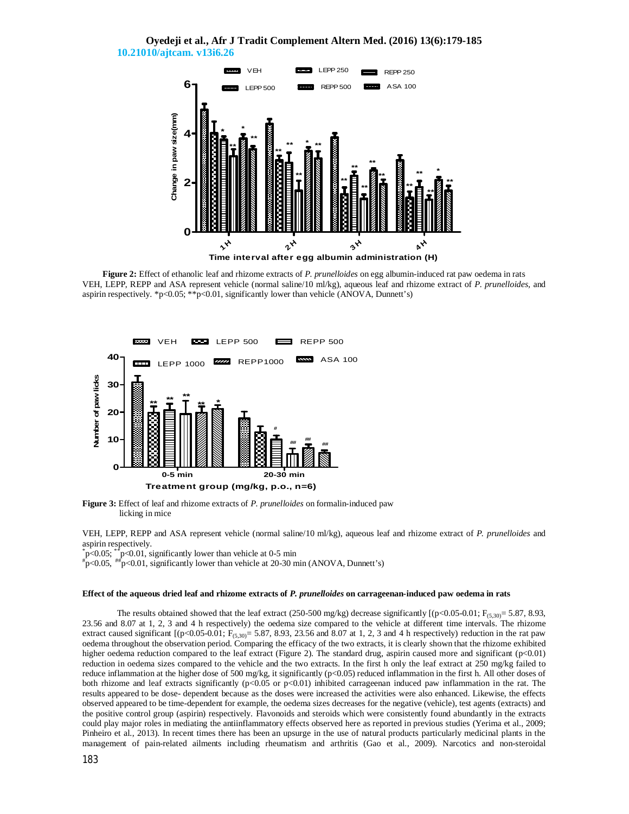# **Oyedeji et al., Afr J Tradit Complement Altern Med. (2016) 13(6):179-185 10.21010/ajtcam. v13i6.26**



**Figure 2:** Effect of ethanolic leaf and rhizome extracts of *P. prunelloides* on egg albumin-induced rat paw oedema in rats VEH, LEPP, REPP and ASA represent vehicle (normal saline/10 ml/kg), aqueous leaf and rhizome extract of *P. prunelloides,* and aspirin respectively. \*p<0.05; \*\*p<0.01, significantly lower than vehicle (ANOVA, Dunnett's)



**Figure 3:** Effect of leaf and rhizome extracts of *P. prunelloides* on formalin-induced paw licking in mice

VEH, LEPP, REPP and ASA represent vehicle (normal saline/10 ml/kg), aqueous leaf and rhizome extract of *P. prunelloides* and aspirin respectively.

 $*_{\mathbf{p}}$ <0.05;  $*_{\mathbf{p}}$  <0.01, significantly lower than vehicle at 0-5 min<br> $*_{\mathbf{p}}$  <0.05  $*_{\mathbf{p}}$  <0.01, significantly lower than vehicle at 20.30 m

 $p\text{-}0.01$ , significantly lower than vehicle at 20-30 min (ANOVA, Dunnett's)

## **Effect of the aqueous dried leaf and rhizome extracts of** *P. prunelloides* **on carrageenan-induced paw oedema in rats**

The results obtained showed that the leaf extract (250-500 mg/kg) decrease significantly  $[(p<0.05-0.01; F_{(5,30)} = 5.87, 8.93,$ 23.56 and 8.07 at 1, 2, 3 and 4 h respectively) the oedema size compared to the vehicle at different time intervals. The rhizome extract caused significant  $[(p<0.05-0.01; F_{(5,30)}=5.87, 8.93, 23.56 \text{ and } 8.07 \text{ at } 1, 2, 3 \text{ and } 4 \text{ h respectively})$  reduction in the rat paw oedema throughout the observation period. Comparing the efficacy of the two extracts, it is clearly shown that the rhizome exhibited higher oedema reduction compared to the leaf extract (Figure 2). The standard drug, aspirin caused more and significant  $(p<0.01)$ reduction in oedema sizes compared to the vehicle and the two extracts. In the first h only the leaf extract at 250 mg/kg failed to reduce inflammation at the higher dose of 500 mg/kg, it significantly (p<0.05) reduced inflammation in the first h. All other doses of both rhizome and leaf extracts significantly (p<0.05 or p<0.01) inhibited carrageenan induced paw inflammation in the rat. The results appeared to be dose- dependent because as the doses were increased the activities were also enhanced. Likewise, the effects observed appeared to be time-dependent for example, the oedema sizes decreases for the negative (vehicle), test agents (extracts) and the positive control group (aspirin) respectively. Flavonoids and steroids which were consistently found abundantly in the extracts could play major roles in mediating the antiinflammatory effects observed here as reported in previous studies (Yerima et al., 2009; Pinheiro et al., 2013). In recent times there has been an upsurge in the use of natural products particularly medicinal plants in the management of pain-related ailments including rheumatism and arthritis (Gao et al., 2009). Narcotics and non-steroidal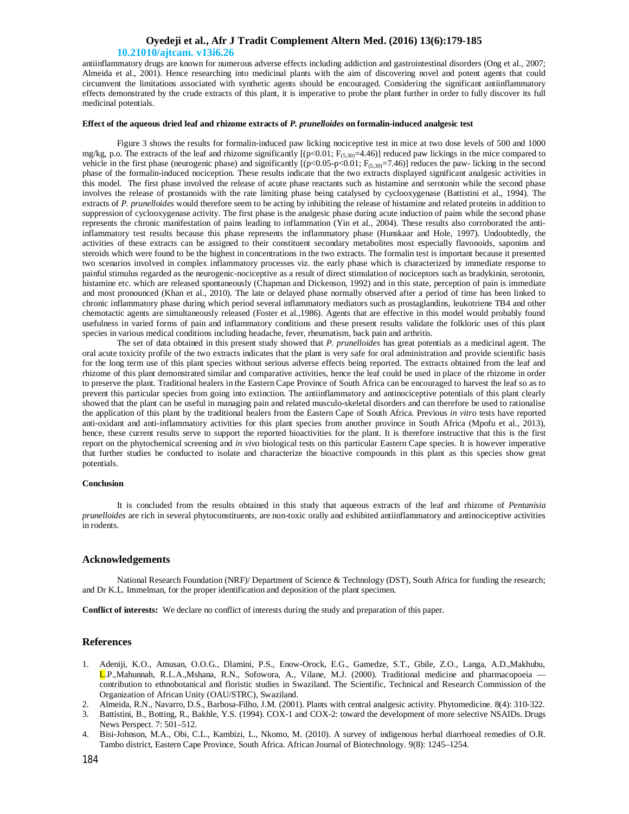# **Oyedeji et al., Afr J Tradit Complement Altern Med. (2016) 13(6):179-185**

## **10.21010/ajtcam. v13i6.26**

antiinflammatory drugs are known for numerous adverse effects including addiction and gastrointestinal disorders (Ong et al., 2007; Almeida et al., 2001). Hence researching into medicinal plants with the aim of discovering novel and potent agents that could circumvent the limitations associated with synthetic agents should be encouraged. Considering the significant antiinflammatory effects demonstrated by the crude extracts of this plant, it is imperative to probe the plant further in order to fully discover its full medicinal potentials.

## **Effect of the aqueous dried leaf and rhizome extracts of** *P. prunelloides* **on formalin-induced analgesic test**

Figure 3 shows the results for formalin-induced paw licking nociceptive test in mice at two dose levels of 500 and 1000 mg/kg, p.o. The extracts of the leaf and rhizome significantly  $[(p<0.01; F_{(5,30)}=4.46)]$  reduced paw lickings in the mice compared to vehicle in the first phase (neurogenic phase) and significantly  $[(p<0.05-p<0.01; F_{(5,30)}=7.46)]$  reduces the paw- licking in the second phase of the formalin-induced nociception. These results indicate that the two extracts displayed significant analgesic activities in this model. The first phase involved the release of acute phase reactants such as histamine and serotonin while the second phase involves the release of prostanoids with the rate limiting phase being catalysed by cyclooxygenase (Battistini et al., 1994). The extracts of *P. prunelloides* would therefore seem to be acting by inhibiting the release of histamine and related proteins in addition to suppression of cyclooxygenase activity. The first phase is the analgesic phase during acute induction of pains while the second phase represents the chronic manifestation of pains leading to inflammation (Yin et al., 2004). These results also corroborated the antiinflammatory test results because this phase represents the inflammatory phase (Hunskaar and Hole, 1997). Undoubtedly, the activities of these extracts can be assigned to their constituent secondary metabolites most especially flavonoids, saponins and steroids which were found to be the highest in concentrations in the two extracts. The formalin test is important because it presented two scenarios involved in complex inflammatory processes viz. the early phase which is characterized by immediate response to painful stimulus regarded as the neurogenic-nociceptive as a result of direct stimulation of nociceptors such as bradykinin, serotonin, histamine etc. which are released spontaneously (Chapman and Dickenson, 1992) and in this state, perception of pain is immediate and most pronounced (Khan et al., 2010). The late or delayed phase normally observed after a period of time has been linked to chronic inflammatory phase during which period several inflammatory mediators such as prostaglandins, leukotriene TB4 and other chemotactic agents are simultaneously released (Foster et al.,1986). Agents that are effective in this model would probably found usefulness in varied forms of pain and inflammatory conditions and these present results validate the folkloric uses of this plant species in various medical conditions including headache, fever, rheumatism, back pain and arthritis.

The set of data obtained in this present study showed that *P. prunelloides* has great potentials as a medicinal agent. The oral acute toxicity profile of the two extracts indicates that the plant is very safe for oral administration and provide scientific basis for the long term use of this plant species without serious adverse effects being reported. The extracts obtained from the leaf and rhizome of this plant demonstrated similar and comparative activities, hence the leaf could be used in place of the rhizome in order to preserve the plant. Traditional healers in the Eastern Cape Province of South Africa can be encouraged to harvest the leaf so as to prevent this particular species from going into extinction. The antiinflammatory and antinociceptive potentials of this plant clearly showed that the plant can be useful in managing pain and related musculo-skeletal disorders and can therefore be used to rationalise the application of this plant by the traditional healers from the Eastern Cape of South Africa. Previous *in vitro* tests have reported anti-oxidant and anti-inflammatory activities for this plant species from another province in South Africa (Mpofu et al., 2013), hence, these current results serve to support the reported bioactivities for the plant. It is therefore instructive that this is the first report on the phytochemical screening and *in vivo* biological tests on this particular Eastern Cape species. It is however imperative that further studies be conducted to isolate and characterize the bioactive compounds in this plant as this species show great potentials.

### **Conclusion**

It is concluded from the results obtained in this study that aqueous extracts of the leaf and rhizome of *Pentanisia prunelloides* are rich in several phytoconstituents, are non-toxic orally and exhibited antiinflammatory and antinociceptive activities in rodents.

## **Acknowledgements**

National Research Foundation (NRF)/ Department of Science & Technology (DST), South Africa for funding the research; and Dr K.L. Immelman, for the proper identification and deposition of the plant specimen.

**Conflict of interests:** We declare no conflict of interests during the study and preparation of this paper.

## **References**

- 1. Adeniji, K.O., Amusan, O.O.G., Dlamini, P.S., Enow-Orock, E.G., Gamedze, S.T., Gbile, Z.O., Langa, A.D.,Makhubu, L.P.,Mahunnah, R.L.A.,Mshana, R.N., Sofowora, A., Vilane, M.J. (2000). Traditional medicine and pharmacopoeia contribution to ethnobotanical and floristic studies in Swaziland. The Scientific, Technical and Research Commission of the Organization of African Unity (OAU/STRC), Swaziland.
- 2. Almeida, R.N., Navarro, D.S., Barbosa-Filho, J.M. (2001). Plants with central analgesic activity. Phytomedicine*.* 8(4): 310-322.
- 3. Battistini, B., Botting, R., Bakhle, Y.S. (1994). COX-1 and COX-2: toward the development of more selective NSAIDs. Drugs News Perspect. 7: 501–512.
- 4. Bisi-Johnson, M.A., Obi, C.L., Kambizi, L., Nkomo, M. (2010). A survey of indigenous herbal diarrhoeal remedies of O.R. Tambo district, Eastern Cape Province, South Africa. African Journal of Biotechnology. 9(8): 1245–1254.